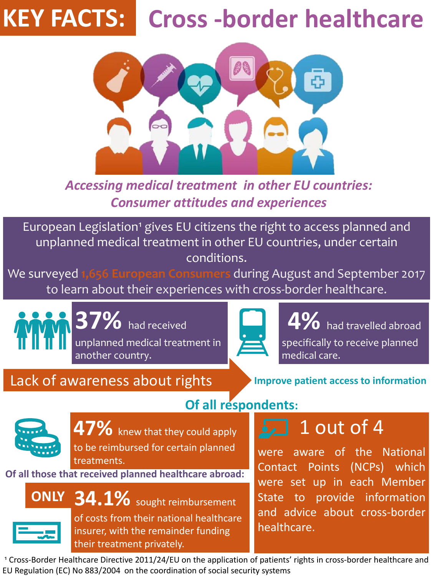*Accessing medical treatment in other EU countries: Consumer attitudes and experiences*

## **KEY FACTS: Cross -border healthcare**



European Legislation<sup>1</sup> gives EU citizens the right to access planned and unplanned medical treatment in other EU countries, under certain conditions.

We surveyed **1,656 European Consumers** during August and September 2017 to learn about their experiences with cross-border healthcare.

**37%** had received unplanned medical treatment in another country.



**47%** knew that they could apply to be reimbursed for certain planned treatments.

**4%** had travelled abroad specifically to receive planned medical care.

Lack of awareness about rights **Improve patient access to information** 

#### **Of all respondents:**

<sup>1</sup> Cross-Border Healthcare Directive 2011/24/EU on the application of patients' rights in cross-border healthcare and EU Regulation (EC) No 883/2004 on the coordination of social security systems

of costs from their national healthcare insurer, with the remainder funding their treatment privately.

 $\boxed{2}$  1 out of 4

were aware of the National Contact Points (NCPs) which were set up in each Member State to provide information and advice about cross-border healthcare.





**Of all those that received planned healthcare abroad:**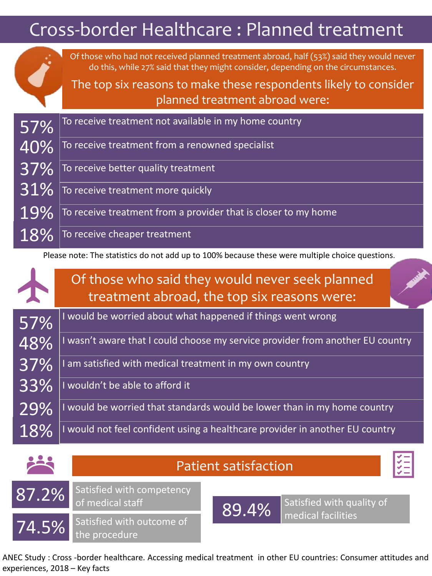ANEC Study : Cross -border healthcare. Accessing medical treatment in other EU countries: Consumer attitudes and experiences, 2018 – Key facts

| Cross-border Healthcare: Planned treatment                                                      |                                                                                                                                                                                                                                                                                     |  |
|-------------------------------------------------------------------------------------------------|-------------------------------------------------------------------------------------------------------------------------------------------------------------------------------------------------------------------------------------------------------------------------------------|--|
|                                                                                                 | Of those who had not received planned treatment abroad, half (53%) said they would never<br>do this, while 27% said that they might consider, depending on the circumstances.<br>The top six reasons to make these respondents likely to consider<br>planned treatment abroad were: |  |
| 57%                                                                                             | To receive treatment not available in my home country                                                                                                                                                                                                                               |  |
| 40%                                                                                             | To receive treatment from a renowned specialist                                                                                                                                                                                                                                     |  |
| 37%                                                                                             | To receive better quality treatment                                                                                                                                                                                                                                                 |  |
| 31%                                                                                             | To receive treatment more quickly                                                                                                                                                                                                                                                   |  |
|                                                                                                 | To receive treatment from a provider that is closer to my home                                                                                                                                                                                                                      |  |
| 18%                                                                                             | To receive cheaper treatment                                                                                                                                                                                                                                                        |  |
| Please note: The statistics do not add up to 100% because these were multiple choice questions. |                                                                                                                                                                                                                                                                                     |  |
|                                                                                                 | Of those who said they would never seek planned<br>treatment abroad, the top six reasons were:                                                                                                                                                                                      |  |
| 57%                                                                                             | I would be worried about what happened if things went wrong                                                                                                                                                                                                                         |  |
| 48%                                                                                             | I wasn't aware that I could choose my service provider from another EU country                                                                                                                                                                                                      |  |
| 37%                                                                                             | I am satisfied with medical treatment in my own country                                                                                                                                                                                                                             |  |
| 33%                                                                                             | I wouldn't be able to afford it                                                                                                                                                                                                                                                     |  |
|                                                                                                 | ho warriad that standards would ha lower than in mult                                                                                                                                                                                                                               |  |

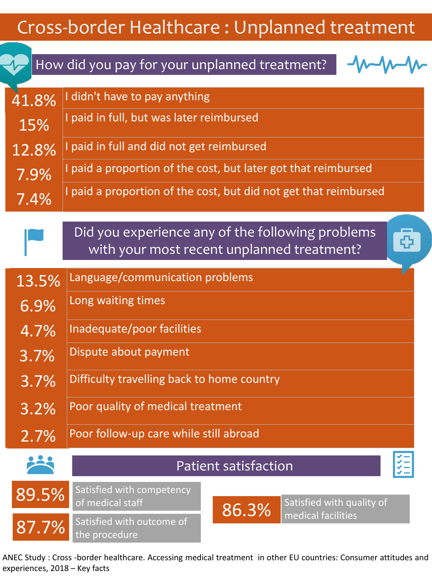# Cross-border Healthcare : Unplanned treatment

ANEC Study : Cross -border healthcare. Accessing medical treatment in other EU countries: Consumer attitudes and experiences, 2018 – Key facts



## How did you pay for your unplanned treatment?

|  |  | 13.5% Language/communication problems |  |
|--|--|---------------------------------------|--|
|--|--|---------------------------------------|--|

Long waiting times 6.9%

| I | Did you experience any of the following problems |
|---|--------------------------------------------------|
|   | with your most recent unplanned treatment?       |

- Inadequate/poor facilities 4.7%
- Dispute about payment 3.7%
- Difficulty travelling back to home country 3.7%
- 

41.8% 15% 12.8% 7.4% 7.9% I didn't have to pay anything I paid in full, but was later reimbursed I paid in full and did not get reimbursed I paid a proportion of the cost, but later got that reimbursed I paid a proportion of the cost, but did not get that reimbursed